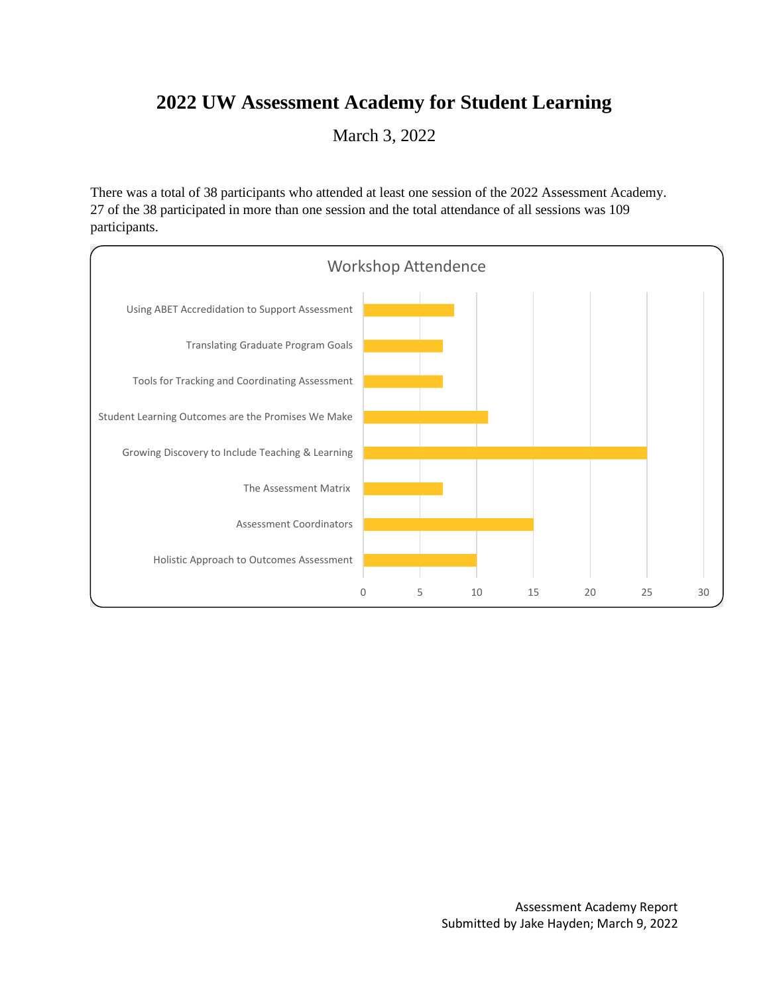## **2022 UW Assessment Academy for Student Learning**

March 3, 2022

There was a total of 38 participants who attended at least one session of the 2022 Assessment Academy. 27 of the 38 participated in more than one session and the total attendance of all sessions was 109 participants.

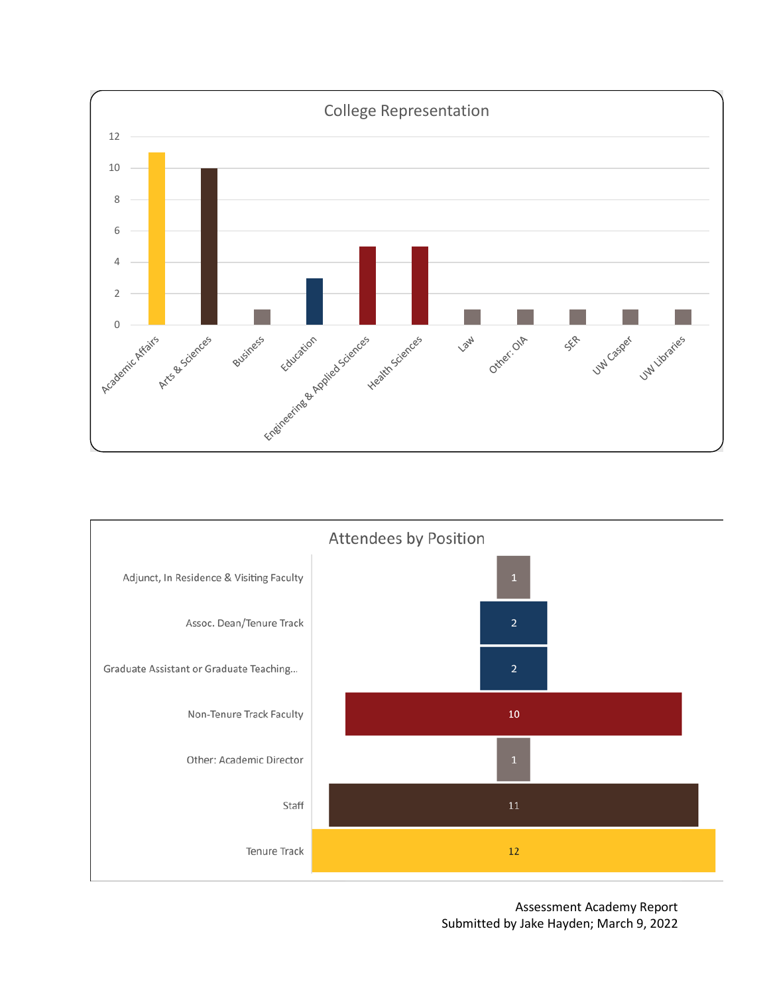



Assessment Academy Report Submitted by Jake Hayden; March 9, 2022